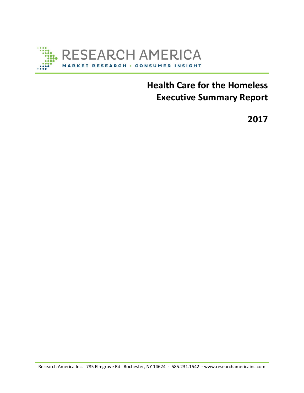

# **Health Care for the Homeless Executive Summary Report**

**2017**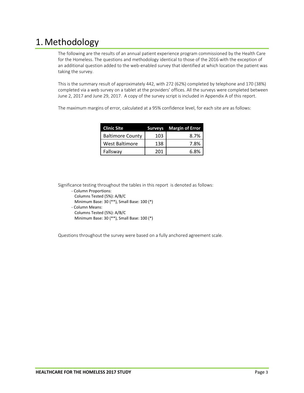# 1.Methodology

The following are the results of an annual patient experience program commissioned by the Health Care for the Homeless. The questions and methodology identical to those of the 2016 with the exception of an additional question added to the web-enabled survey that identified at which location the patient was taking the survey.

This is the summary result of approximately 442, with 272 (62%) completed by telephone and 170 (38%) completed via a web survey on a tablet at the providers' offices. All the surveys were completed between June 2, 2017 and June 29, 2017. A copy of the survey script is included in Appendix A of this report.

The maximum margins of error, calculated at a 95% confidence level, for each site are as follows:

| <b>Clinic Site</b>      |     | <b>Surveys</b> Margin of Error |
|-------------------------|-----|--------------------------------|
| <b>Baltimore County</b> | 103 | 8.7%                           |
| <b>West Baltimore</b>   | 138 | 7.8%                           |
| Fallsway                | 201 | 6.8%                           |

Significance testing throughout the tables in this report is denoted as follows:

- ‐ Column Proportions: Columns Tested (5%): A/B/C Minimum Base: 30 (\*\*), Small Base: 100 (\*) ‐ Column Means:
- Columns Tested (5%): A/B/C
- Minimum Base: 30 (\*\*), Small Base: 100 (\*)

Questions throughout the survey were based on a fully anchored agreement scale.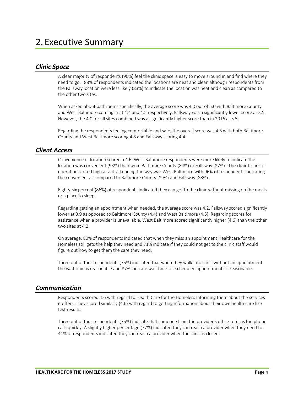### *Clinic Space*

A clear majority of respondents (90%) feel the clinic space is easy to move around in and find where they need to go. 88% of respondents indicated the locations are neat and clean although respondents from the Fallsway location were less likely (83%) to indicate the location was neat and clean as compared to the other two sites.

When asked about bathrooms specifically, the average score was 4.0 out of 5.0 with Baltimore County and West Baltimore coming in at 4.4 and 4.5 respectively. Fallsway was a significantly lower score at 3.5. However, the 4.0 for all sites combined was a significantly higher score than in 2016 at 3.5.

Regarding the respondents feeling comfortable and safe, the overall score was 4.6 with both Baltimore County and West Baltimore scoring 4.8 and Fallsway scoring 4.4.

#### *Client Access*

Convenience of location scored a 4.6. West Baltimore respondents were more likely to indicate the location was convenient (93%) than were Baltimore County (84%) or Fallsway (87%). The clinic hours of operation scored high at a 4.7. Leading the way was West Baltimore with 96% of respondents indicating the convenient as compared to Baltimore County (89%) and Fallsway (88%).

Eighty‐six percent (86%) of respondents indicated they can get to the clinic without missing on the meals or a place to sleep.

Regarding getting an appointment when needed, the average score was 4.2. Fallsway scored significantly lower at 3.9 as opposed to Baltimore County (4.4) and West Baltimore (4.5). Regarding scores for assistance when a provider is unavailable, West Baltimore scored significantly higher (4.6) than the other two sites at 4.2.

On average, 80% of respondents indicated that when they miss an appointment Healthcare for the Homeless still gets the help they need and 71% indicate if they could not get to the clinic staff would figure out how to get them the care they need.

Three out of four respondents (75%) indicated that when they walk into clinic without an appointment the wait time is reasonable and 87% indicate wait time for scheduled appointments is reasonable.

#### *Communication*

Respondents scored 4.6 with regard to Health Care for the Homeless informing them about the services it offers. They scored similarly (4.6) with regard to getting information about their own health care like test results.

Three out of four respondents (75%) indicate that someone from the provider's office returns the phone calls quickly. A slightly higher percentage (77%) indicated they can reach a provider when they need to. 41% of respondents indicated they can reach a provider when the clinic is closed.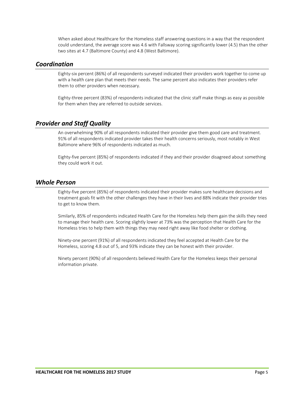When asked about Healthcare for the Homeless staff answering questions in a way that the respondent could understand, the average score was 4.6 with Fallsway scoring significantly lower (4.5) than the other two sites at 4.7 (Baltimore County) and 4.8 (West Baltimore).

#### *Coordination*

Eighty‐six percent (86%) of all respondents surveyed indicated their providers work together to come up with a health care plan that meets their needs. The same percent also indicates their providers refer them to other providers when necessary.

Eighty-three percent (83%) of respondents indicated that the clinic staff make things as easy as possible for them when they are referred to outside services.

## *Provider and Staff Quality*

An overwhelming 90% of all respondents indicated their provider give them good care and treatment. 91% of all respondents indicated provider takes their health concerns seriously, most notably in West Baltimore where 96% of respondents indicated as much.

Eighty‐five percent (85%) of respondents indicated if they and their provider disagreed about something they could work it out.

### *Whole Person*

Eighty‐five percent (85%) of respondents indicated their provider makes sure healthcare decisions and treatment goals fit with the other challenges they have in their lives and 88% indicate their provider tries to get to know them.

Similarly, 85% of respondents indicated Health Care for the Homeless help them gain the skills they need to manage their health care. Scoring slightly lower at 73% was the perception that Health Care for the Homeless tries to help them with things they may need right away like food shelter or clothing.

Ninety‐one percent (91%) of all respondents indicated they feel accepted at Health Care for the Homeless, scoring 4.8 out of 5, and 93% indicate they can be honest with their provider.

Ninety percent (90%) of all respondents believed Health Care for the Homeless keeps their personal information private.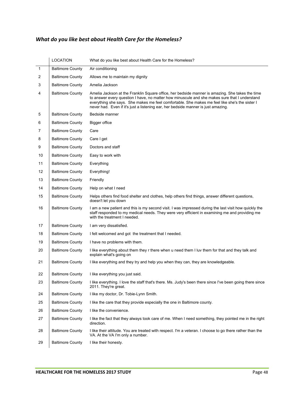# What do you like best about Health Care for the Homeless?

|    | <b>LOCATION</b>         | What do you like best about Health Care for the Homeless?                                                                                                                                                                                                                                                                                                                              |
|----|-------------------------|----------------------------------------------------------------------------------------------------------------------------------------------------------------------------------------------------------------------------------------------------------------------------------------------------------------------------------------------------------------------------------------|
| 1  | <b>Baltimore County</b> | Air conditioning                                                                                                                                                                                                                                                                                                                                                                       |
| 2  | <b>Baltimore County</b> | Allows me to maintain my dignity                                                                                                                                                                                                                                                                                                                                                       |
| 3  | <b>Baltimore County</b> | Amelia Jackson                                                                                                                                                                                                                                                                                                                                                                         |
| 4  | <b>Baltimore County</b> | Amelia Jackson at the Franklin Square office, her bedside manner is amazing. She takes the time<br>to answer every question I have, no matter how minuscule and she makes sure that I understand<br>everything she says. She makes me feel comfortable. She makes me feel like she's the sister I<br>never had. Even if it's just a listening ear, her bedside manner is just amazing. |
| 5  | <b>Baltimore County</b> | Bedside manner                                                                                                                                                                                                                                                                                                                                                                         |
| 6  | <b>Baltimore County</b> | <b>Bigger office</b>                                                                                                                                                                                                                                                                                                                                                                   |
| 7  | <b>Baltimore County</b> | Care                                                                                                                                                                                                                                                                                                                                                                                   |
| 8  | <b>Baltimore County</b> | Care I get                                                                                                                                                                                                                                                                                                                                                                             |
| 9  | <b>Baltimore County</b> | Doctors and staff                                                                                                                                                                                                                                                                                                                                                                      |
| 10 | <b>Baltimore County</b> | Easy to work with                                                                                                                                                                                                                                                                                                                                                                      |
| 11 | <b>Baltimore County</b> | Everything                                                                                                                                                                                                                                                                                                                                                                             |
| 12 | <b>Baltimore County</b> | Everything!                                                                                                                                                                                                                                                                                                                                                                            |
| 13 | <b>Baltimore County</b> | Friendly                                                                                                                                                                                                                                                                                                                                                                               |
| 14 | <b>Baltimore County</b> | Help on what I need                                                                                                                                                                                                                                                                                                                                                                    |
| 15 | <b>Baltimore County</b> | Helps others find food shelter and clothes, help others find things, answer different questions,<br>doesn't let you down                                                                                                                                                                                                                                                               |
| 16 | <b>Baltimore County</b> | I am a new patient and this is my second visit. I was impressed during the last visit how quickly the<br>staff responded to my medical needs. They were very efficient in examining me and providing me<br>with the treatment I needed.                                                                                                                                                |
| 17 | <b>Baltimore County</b> | I am very dissatisfied.                                                                                                                                                                                                                                                                                                                                                                |
| 18 | <b>Baltimore County</b> | I felt welcomed and got the treatment that I needed.                                                                                                                                                                                                                                                                                                                                   |
| 19 | <b>Baltimore County</b> | I have no problems with them.                                                                                                                                                                                                                                                                                                                                                          |
| 20 | <b>Baltimore County</b> | I like everything about them they r there when u need them I luv them for that and they talk and<br>explain what's going on                                                                                                                                                                                                                                                            |
| 21 | <b>Baltimore County</b> | I like everything and they try and help you when they can, they are knowledgeable.                                                                                                                                                                                                                                                                                                     |
| 22 | <b>Baltimore County</b> | I like everything you just said.                                                                                                                                                                                                                                                                                                                                                       |
| 23 | <b>Baltimore County</b> | I like everything. I love the staff that's there. Ms. Judy's been there since I've been going there since<br>2011. They're great.                                                                                                                                                                                                                                                      |
| 24 | <b>Baltimore County</b> | I like my doctor, Dr. Tobie-Lynn Smith.                                                                                                                                                                                                                                                                                                                                                |
| 25 | <b>Baltimore County</b> | I like the care that they provide especially the one in Baltimore county.                                                                                                                                                                                                                                                                                                              |
| 26 | <b>Baltimore County</b> | I like the convenience.                                                                                                                                                                                                                                                                                                                                                                |
| 27 | <b>Baltimore County</b> | I like the fact that they always took care of me. When I need something, they pointed me in the right<br>direction.                                                                                                                                                                                                                                                                    |
| 28 | <b>Baltimore County</b> | I like their attitude. You are treated with respect. I'm a veteran. I choose to go there rather than the<br>VA. At the VA I'm only a number.                                                                                                                                                                                                                                           |
| 29 | <b>Baltimore County</b> | I like their honesty.                                                                                                                                                                                                                                                                                                                                                                  |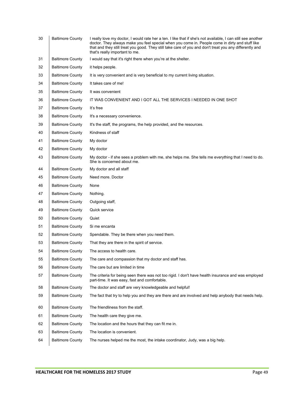| 30 | <b>Baltimore County</b> | I really love my doctor, I would rate her a ten. I like that if she's not available, I can still see another<br>doctor. They always make you feel special when you come in. People come in dirty and stuff like<br>that and they still treat you good. They still take care of you and don't treat you any differently and<br>that's really important to me. |
|----|-------------------------|--------------------------------------------------------------------------------------------------------------------------------------------------------------------------------------------------------------------------------------------------------------------------------------------------------------------------------------------------------------|
| 31 | <b>Baltimore County</b> | I would say that it's right there when you're at the shelter.                                                                                                                                                                                                                                                                                                |
| 32 | <b>Baltimore County</b> | it helps people.                                                                                                                                                                                                                                                                                                                                             |
| 33 | <b>Baltimore County</b> | It is very convenient and is very beneficial to my current living situation.                                                                                                                                                                                                                                                                                 |
| 34 | <b>Baltimore County</b> | It takes care of me!                                                                                                                                                                                                                                                                                                                                         |
| 35 | <b>Baltimore County</b> | It was convenient                                                                                                                                                                                                                                                                                                                                            |
| 36 | <b>Baltimore County</b> | IT WAS CONVENIENT AND I GOT ALL THE SERVICES I NEEDED IN ONE SHOT                                                                                                                                                                                                                                                                                            |
| 37 | <b>Baltimore County</b> | It's free                                                                                                                                                                                                                                                                                                                                                    |
| 38 | <b>Baltimore County</b> | It's a necessary convenience.                                                                                                                                                                                                                                                                                                                                |
| 39 | <b>Baltimore County</b> | It's the staff, the programs, the help provided, and the resources.                                                                                                                                                                                                                                                                                          |
| 40 | <b>Baltimore County</b> | Kindness of staff                                                                                                                                                                                                                                                                                                                                            |
| 41 | <b>Baltimore County</b> | My doctor                                                                                                                                                                                                                                                                                                                                                    |
| 42 | <b>Baltimore County</b> | My doctor                                                                                                                                                                                                                                                                                                                                                    |
| 43 | <b>Baltimore County</b> | My doctor - if she sees a problem with me, she helps me. She tells me everything that I need to do.<br>She is concerned about me.                                                                                                                                                                                                                            |
| 44 | <b>Baltimore County</b> | My doctor and all staff                                                                                                                                                                                                                                                                                                                                      |
| 45 | <b>Baltimore County</b> | Need more. Doctor                                                                                                                                                                                                                                                                                                                                            |
| 46 | <b>Baltimore County</b> | None                                                                                                                                                                                                                                                                                                                                                         |
| 47 | <b>Baltimore County</b> | Nothing.                                                                                                                                                                                                                                                                                                                                                     |
| 48 | <b>Baltimore County</b> | Outgoing staff,                                                                                                                                                                                                                                                                                                                                              |
| 49 | <b>Baltimore County</b> | Quick service                                                                                                                                                                                                                                                                                                                                                |
| 50 | <b>Baltimore County</b> | Quiet                                                                                                                                                                                                                                                                                                                                                        |
| 51 | <b>Baltimore County</b> | Si me encanta                                                                                                                                                                                                                                                                                                                                                |
| 52 | <b>Baltimore County</b> | Spendable. They be there when you need them.                                                                                                                                                                                                                                                                                                                 |
| 53 | <b>Baltimore County</b> | That they are there in the spirit of service.                                                                                                                                                                                                                                                                                                                |
| 54 | <b>Baltimore County</b> | The access to health care.                                                                                                                                                                                                                                                                                                                                   |
| 55 | <b>Baltimore County</b> | The care and compassion that my doctor and staff has.                                                                                                                                                                                                                                                                                                        |
| 56 | <b>Baltimore County</b> | The care but are limited in time                                                                                                                                                                                                                                                                                                                             |
| 57 | <b>Baltimore County</b> | The criteria for being seen there was not too rigid. I don't have health insurance and was employed<br>part-time. It was easy, fast and comfortable.                                                                                                                                                                                                         |
| 58 | <b>Baltimore County</b> | The doctor and staff are very knowledgeable and helpful!                                                                                                                                                                                                                                                                                                     |
| 59 | <b>Baltimore County</b> | The fact that try to help you and they are there and are involved and help anybody that needs help.                                                                                                                                                                                                                                                          |
| 60 | <b>Baltimore County</b> | The friendliness from the staff.                                                                                                                                                                                                                                                                                                                             |
| 61 | <b>Baltimore County</b> | The health care they give me.                                                                                                                                                                                                                                                                                                                                |
| 62 | <b>Baltimore County</b> | The location and the hours that they can fit me in.                                                                                                                                                                                                                                                                                                          |
| 63 | <b>Baltimore County</b> | The location is convenient.                                                                                                                                                                                                                                                                                                                                  |
| 64 | <b>Baltimore County</b> | The nurses helped me the most, the intake coordinator, Judy, was a big help.                                                                                                                                                                                                                                                                                 |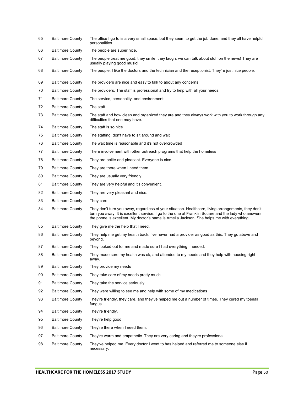| 65 | <b>Baltimore County</b> | The office I go to is a very small space, but they seem to get the job done, and they all have helpful<br>personalities.                                                                                                                                                                                |
|----|-------------------------|---------------------------------------------------------------------------------------------------------------------------------------------------------------------------------------------------------------------------------------------------------------------------------------------------------|
| 66 | <b>Baltimore County</b> | The people are super nice.                                                                                                                                                                                                                                                                              |
| 67 | <b>Baltimore County</b> | The people treat me good, they smile, they laugh, we can talk about stuff on the news! They are<br>usually playing good music!                                                                                                                                                                          |
| 68 | <b>Baltimore County</b> | The people. I like the doctors and the technician and the receptionist. They're just nice people.                                                                                                                                                                                                       |
| 69 | <b>Baltimore County</b> | The providers are nice and easy to talk to about any concerns.                                                                                                                                                                                                                                          |
| 70 | <b>Baltimore County</b> | The providers. The staff is professional and try to help with all your needs.                                                                                                                                                                                                                           |
| 71 | <b>Baltimore County</b> | The service, personality, and environment.                                                                                                                                                                                                                                                              |
| 72 | <b>Baltimore County</b> | The staff                                                                                                                                                                                                                                                                                               |
| 73 | <b>Baltimore County</b> | The staff and how clean and organized they are and they always work with you to work through any<br>difficulties that one may have.                                                                                                                                                                     |
| 74 | <b>Baltimore County</b> | The staff is so nice                                                                                                                                                                                                                                                                                    |
| 75 | <b>Baltimore County</b> | The staffing, don't have to sit around and wait                                                                                                                                                                                                                                                         |
| 76 | <b>Baltimore County</b> | The wait time is reasonable and it's not overcrowded                                                                                                                                                                                                                                                    |
| 77 | <b>Baltimore County</b> | There involvement with other outreach programs that help the homeless                                                                                                                                                                                                                                   |
| 78 | <b>Baltimore County</b> | They are polite and pleasant. Everyone is nice.                                                                                                                                                                                                                                                         |
| 79 | <b>Baltimore County</b> | They are there when I need them.                                                                                                                                                                                                                                                                        |
| 80 | <b>Baltimore County</b> | They are usually very friendly.                                                                                                                                                                                                                                                                         |
| 81 | <b>Baltimore County</b> | They are very helpful and it's convenient.                                                                                                                                                                                                                                                              |
| 82 | <b>Baltimore County</b> | They are very pleasant and nice.                                                                                                                                                                                                                                                                        |
| 83 | <b>Baltimore County</b> | They care                                                                                                                                                                                                                                                                                               |
| 84 | <b>Baltimore County</b> | They don't turn you away, regardless of your situation. Healthcare, living arrangements, they don't<br>turn you away. It is excellent service. I go to the one at Franklin Square and the lady who answers<br>the phone is excellent. My doctor's name is Amelia Jackson. She helps me with everything. |
| 85 | <b>Baltimore County</b> | They give me the help that I need.                                                                                                                                                                                                                                                                      |
| 86 | <b>Baltimore County</b> | They help me get my health back. I've never had a provider as good as this. They go above and<br>beyond.                                                                                                                                                                                                |
| 87 | <b>Baltimore County</b> | They looked out for me and made sure I had everything I needed.                                                                                                                                                                                                                                         |
| 88 | <b>Baltimore County</b> | They made sure my health was ok, and attended to my needs and they help with housing right<br>away.                                                                                                                                                                                                     |
| 89 | <b>Baltimore County</b> | They provide my needs                                                                                                                                                                                                                                                                                   |
| 90 | <b>Baltimore County</b> | They take care of my needs pretty much.                                                                                                                                                                                                                                                                 |
| 91 | <b>Baltimore County</b> | They take the service seriously.                                                                                                                                                                                                                                                                        |
| 92 | <b>Baltimore County</b> | They were willing to see me and help with some of my medications                                                                                                                                                                                                                                        |
| 93 | <b>Baltimore County</b> | They're friendly, they care, and they've helped me out a number of times. They cured my toenail<br>fungus.                                                                                                                                                                                              |
| 94 | <b>Baltimore County</b> | They're friendly.                                                                                                                                                                                                                                                                                       |
| 95 | <b>Baltimore County</b> | They're help good                                                                                                                                                                                                                                                                                       |
| 96 | <b>Baltimore County</b> | They're there when I need them.                                                                                                                                                                                                                                                                         |
| 97 | <b>Baltimore County</b> | They're warm and empathetic. They are very caring and they're professional.                                                                                                                                                                                                                             |
| 98 | <b>Baltimore County</b> | They've helped me. Every doctor I went to has helped and referred me to someone else if<br>necessary.                                                                                                                                                                                                   |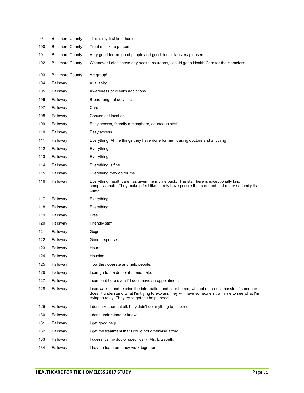| 99  | <b>Baltimore County</b> | This is my first time here                                                                                                                                                                                                                                |
|-----|-------------------------|-----------------------------------------------------------------------------------------------------------------------------------------------------------------------------------------------------------------------------------------------------------|
| 100 | <b>Baltimore County</b> | Treat me like a person                                                                                                                                                                                                                                    |
| 101 | <b>Baltimore County</b> | Very good for me good people and good doctor Ian very pleased                                                                                                                                                                                             |
| 102 | <b>Baltimore County</b> | Whenever I didn't have any health insurance, I could go to Health Care for the Homeless.                                                                                                                                                                  |
| 103 | <b>Baltimore County</b> | Art group!                                                                                                                                                                                                                                                |
| 104 | Fallsway                | Availabity                                                                                                                                                                                                                                                |
| 105 | Fallsway                | Awareness of client's addictions                                                                                                                                                                                                                          |
| 106 | Fallsway                | Broad range of services                                                                                                                                                                                                                                   |
| 107 | Fallsway                | Care                                                                                                                                                                                                                                                      |
| 108 | Fallsway                | Convenient location                                                                                                                                                                                                                                       |
| 109 | Fallsway                | Easy access, friendly atmosphere, courteous staff                                                                                                                                                                                                         |
| 110 | Fallsway                | Easy access.                                                                                                                                                                                                                                              |
| 111 | Fallsway                | Everything. Al the things they have done for me housing doctors and anything                                                                                                                                                                              |
| 112 | Fallsway                | Everything                                                                                                                                                                                                                                                |
| 113 | Fallsway                | Everything                                                                                                                                                                                                                                                |
| 114 | Fallsway                | Everything is fine.                                                                                                                                                                                                                                       |
| 115 | Fallsway                | Everything they do for me                                                                                                                                                                                                                                 |
| 116 | Fallsway                | Everything, healthcare has given me my life back. The staff here is exceptionally kind,<br>compassionate. They make u feel like u ,truly have people that care and that u have a family that<br>cares                                                     |
| 117 | Fallsway                | Everything.                                                                                                                                                                                                                                               |
| 118 | Fallsway                | Everything                                                                                                                                                                                                                                                |
| 119 | Fallsway                | Free                                                                                                                                                                                                                                                      |
| 120 |                         |                                                                                                                                                                                                                                                           |
|     | Fallsway                | Friendly staff                                                                                                                                                                                                                                            |
| 121 | Fallsway                | Gogo                                                                                                                                                                                                                                                      |
| 122 | Fallsway                | Good response                                                                                                                                                                                                                                             |
| 123 | Fallsway                | Hours                                                                                                                                                                                                                                                     |
| 124 | Fallsway                | Housing                                                                                                                                                                                                                                                   |
| 125 | Fallsway                | How they operate and help people.                                                                                                                                                                                                                         |
| 126 | Fallsway                | I can go to the doctor if I need help.                                                                                                                                                                                                                    |
| 127 | Fallsway                | I can seat here even if I don't have an appointment                                                                                                                                                                                                       |
| 128 | Fallsway                | I can walk in and receive the information and care I need, without much of a hassle. If someone<br>doesn't understand what I'm trying to explain, they will have someone sit with me to see what I'm<br>trying to relay. They try to get the help I need. |
| 129 | Fallsway                | I don't like them at all. they didn't do anything to help me.                                                                                                                                                                                             |
| 130 | Fallsway                | I don't understand or know                                                                                                                                                                                                                                |
| 131 | Fallsway                | I get good help.                                                                                                                                                                                                                                          |
| 132 | Fallsway                | I get the treatment that I could not otherwise afford.                                                                                                                                                                                                    |
| 133 | Fallsway                | I guess it's my doctor specifically, Ms. Elizabeth.                                                                                                                                                                                                       |
| 134 | Fallsway                | I have a team and they work together                                                                                                                                                                                                                      |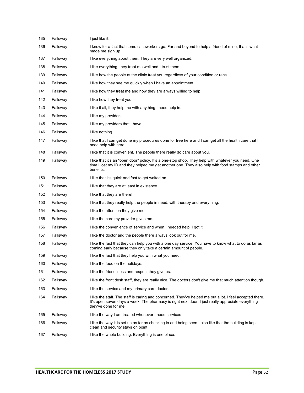| 135 | Fallsway | I just like it.                                                                                                                                                                                                                       |
|-----|----------|---------------------------------------------------------------------------------------------------------------------------------------------------------------------------------------------------------------------------------------|
| 136 | Fallsway | I know for a fact that some caseworkers go. Far and beyond to help a friend of mine, that's what<br>made me sign up                                                                                                                   |
| 137 | Fallsway | I like everything about them. They are very well organized.                                                                                                                                                                           |
| 138 | Fallsway | I like everything, they treat me well and I trust them.                                                                                                                                                                               |
| 139 | Fallsway | I like how the people at the clinic treat you regardless of your condition or race.                                                                                                                                                   |
| 140 | Fallsway | I like how they see me quickly when I have an appointment.                                                                                                                                                                            |
| 141 | Fallsway | I like how they treat me and how they are always willing to help.                                                                                                                                                                     |
| 142 | Fallsway | I like how they treat you.                                                                                                                                                                                                            |
| 143 | Fallsway | I like it all, they help me with anything I need help in.                                                                                                                                                                             |
| 144 | Fallsway | I like my provider.                                                                                                                                                                                                                   |
| 145 | Fallsway | I like my providers that I have.                                                                                                                                                                                                      |
| 146 | Fallsway | I like nothing.                                                                                                                                                                                                                       |
| 147 | Fallsway | I like that I can get done my procedures done for free here and I can get all the health care that I<br>need help with here                                                                                                           |
| 148 | Fallsway | I like that it is convenient. The people there really do care about you.                                                                                                                                                              |
| 149 | Fallsway | I like that it's an "open door" policy. It's a one-stop shop. They help with whatever you need. One<br>time I lost my ID and they helped me get another one. They also help with food stamps and other<br>benefits.                   |
| 150 | Fallsway | I like that it's quick and fast to get waited on.                                                                                                                                                                                     |
| 151 | Fallsway | I like that they are at least in existence.                                                                                                                                                                                           |
| 152 | Fallsway | I like that they are there!                                                                                                                                                                                                           |
| 153 | Fallsway | I like that they really help the people in need, with therapy and everything.                                                                                                                                                         |
| 154 | Fallsway | I like the attention they give me.                                                                                                                                                                                                    |
| 155 | Fallsway | I like the care my provider gives me.                                                                                                                                                                                                 |
| 156 | Fallsway | I like the convenience of service and when I needed help, I got it.                                                                                                                                                                   |
| 157 | Fallsway | I like the doctor and the people there always look out for me.                                                                                                                                                                        |
| 158 | Fallsway | I like the fact that they can help you with a one day service. You have to know what to do as far as<br>coming early because they only take a certain amount of people.                                                               |
| 159 | Fallsway | I like the fact that they help you with what you need.                                                                                                                                                                                |
| 160 | Fallsway | I like the food on the holidays.                                                                                                                                                                                                      |
| 161 | Fallsway | I like the friendliness and respect they give us.                                                                                                                                                                                     |
| 162 | Fallsway | I like the front desk staff, they are really nice. The doctors don't give me that much attention though.                                                                                                                              |
| 163 | Fallsway | I like the service and my primary care doctor.                                                                                                                                                                                        |
| 164 | Fallsway | I like the staff. The staff is caring and concerned. They've helped me out a lot. I feel accepted there.<br>It's open seven days a week. The pharmacy is right next door. I just really appreciate everything<br>they've done for me. |
| 165 | Fallsway | I like the way I am treated whenever I need services                                                                                                                                                                                  |
| 166 | Fallsway | I like the way it is set up as far as checking in and being seen I also like that the building is kept<br>clean and security stays on point                                                                                           |
| 167 | Fallsway | I like the whole building. Everything is one place.                                                                                                                                                                                   |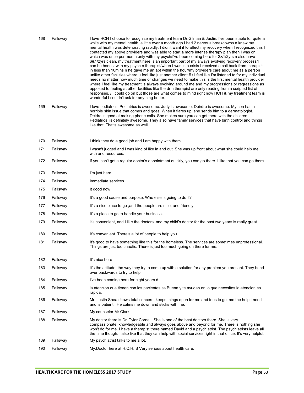| 168 | Fallsway | I love HCH I choose to recognize my treatment team Dr. Gilman & Justin, I've been stable for quite a<br>while with my mental health, a little over a month ago I had 2 nervous breakdowns n knew my<br>mental health was deteriorating rapidly, I didn't want it to affect my recovery when I recognized this I<br>contacted my above providers and was able to start a more intense therapy plan then I was on<br>which was once per month only with my psych/I've been coming here for 2&1/2yrs n also have<br>6&1/2yrs clean, my treatment here is an important part of my always evolving recovery process/l<br>can be honest with my psych n therapist/when I was in a crisis I received a call back from therapist<br>in less than 10 mins n he gave me an apt within the hour/my providers care about me as a person<br>unlike other facilities where u feel like just another client # / I feel like I'm listened to for my individual<br>needs no matter how much time or changes we need to make this is the first mental health provider<br>where I feel like my treatment is always evolving around me and my progressions or regressions as<br>opposed to feeling at other facilities like the dr n therapist are only reading from a scripted list of<br>responses. / I could go on but those are what comes to mind right now HCH & my treatment team is<br>wonderful I couldn't ask for anything better. |
|-----|----------|--------------------------------------------------------------------------------------------------------------------------------------------------------------------------------------------------------------------------------------------------------------------------------------------------------------------------------------------------------------------------------------------------------------------------------------------------------------------------------------------------------------------------------------------------------------------------------------------------------------------------------------------------------------------------------------------------------------------------------------------------------------------------------------------------------------------------------------------------------------------------------------------------------------------------------------------------------------------------------------------------------------------------------------------------------------------------------------------------------------------------------------------------------------------------------------------------------------------------------------------------------------------------------------------------------------------------------------------------------------------------------------------------------------------------|
| 169 | Fallsway | I love pediatrics. Pediatrics is awesome. Judy is awesome, Deirdre is awesome. My son has a<br>horrible skin issue that comes and goes. When it flares up, she sends him to a dermatologist.<br>Deidre is good at making phone calls. She makes sure you can get there with the children.<br>Pediatrics is definitely awesome. They also have family services that have birth control and things<br>like that. That's awesome as well.                                                                                                                                                                                                                                                                                                                                                                                                                                                                                                                                                                                                                                                                                                                                                                                                                                                                                                                                                                                   |
| 170 | Fallsway | I think they do a good job and I am happy with them                                                                                                                                                                                                                                                                                                                                                                                                                                                                                                                                                                                                                                                                                                                                                                                                                                                                                                                                                                                                                                                                                                                                                                                                                                                                                                                                                                      |
| 171 | Fallsway | I wasn't judged and I was kind of like in and out. She was up front about what she could help me<br>with and resources.                                                                                                                                                                                                                                                                                                                                                                                                                                                                                                                                                                                                                                                                                                                                                                                                                                                                                                                                                                                                                                                                                                                                                                                                                                                                                                  |
| 172 | Fallsway | If you can't get a regular doctor's appointment quickly, you can go there. I like that you can go there.                                                                                                                                                                                                                                                                                                                                                                                                                                                                                                                                                                                                                                                                                                                                                                                                                                                                                                                                                                                                                                                                                                                                                                                                                                                                                                                 |
| 173 | Fallsway | I'm just here                                                                                                                                                                                                                                                                                                                                                                                                                                                                                                                                                                                                                                                                                                                                                                                                                                                                                                                                                                                                                                                                                                                                                                                                                                                                                                                                                                                                            |
| 174 | Fallsway | Immediate services                                                                                                                                                                                                                                                                                                                                                                                                                                                                                                                                                                                                                                                                                                                                                                                                                                                                                                                                                                                                                                                                                                                                                                                                                                                                                                                                                                                                       |
| 175 | Fallsway | It good now                                                                                                                                                                                                                                                                                                                                                                                                                                                                                                                                                                                                                                                                                                                                                                                                                                                                                                                                                                                                                                                                                                                                                                                                                                                                                                                                                                                                              |
| 176 | Fallsway | It's a good cause and purpose. Who else is going to do it?                                                                                                                                                                                                                                                                                                                                                                                                                                                                                                                                                                                                                                                                                                                                                                                                                                                                                                                                                                                                                                                                                                                                                                                                                                                                                                                                                               |
| 177 | Fallsway | It's a nice place to go, and the people are nice, and friendly.                                                                                                                                                                                                                                                                                                                                                                                                                                                                                                                                                                                                                                                                                                                                                                                                                                                                                                                                                                                                                                                                                                                                                                                                                                                                                                                                                          |
| 178 | Fallsway | It's a place to go to handle your business.                                                                                                                                                                                                                                                                                                                                                                                                                                                                                                                                                                                                                                                                                                                                                                                                                                                                                                                                                                                                                                                                                                                                                                                                                                                                                                                                                                              |
| 179 | Fallsway | it's convenient, and I like the doctors, and my child's doctor for the past two years is really great                                                                                                                                                                                                                                                                                                                                                                                                                                                                                                                                                                                                                                                                                                                                                                                                                                                                                                                                                                                                                                                                                                                                                                                                                                                                                                                    |
| 180 | Fallsway | It's convenient. There's a lot of people to help you.                                                                                                                                                                                                                                                                                                                                                                                                                                                                                                                                                                                                                                                                                                                                                                                                                                                                                                                                                                                                                                                                                                                                                                                                                                                                                                                                                                    |
| 181 | Fallsway | It's good to have something like this for the homeless. The services are sometimes unprofessional.<br>Things are just too chaotic. There is just too much going on there for me.                                                                                                                                                                                                                                                                                                                                                                                                                                                                                                                                                                                                                                                                                                                                                                                                                                                                                                                                                                                                                                                                                                                                                                                                                                         |
| 182 | Fallsway | It's nice here                                                                                                                                                                                                                                                                                                                                                                                                                                                                                                                                                                                                                                                                                                                                                                                                                                                                                                                                                                                                                                                                                                                                                                                                                                                                                                                                                                                                           |
| 183 | Fallsway | It's the attitude, the way they try to come up with a solution for any problem you present. They bend<br>over backwards to try to help.                                                                                                                                                                                                                                                                                                                                                                                                                                                                                                                                                                                                                                                                                                                                                                                                                                                                                                                                                                                                                                                                                                                                                                                                                                                                                  |
| 184 | Fallsway | I've been coming here for eight years d                                                                                                                                                                                                                                                                                                                                                                                                                                                                                                                                                                                                                                                                                                                                                                                                                                                                                                                                                                                                                                                                                                                                                                                                                                                                                                                                                                                  |
| 185 | Fallsway | la atencion que tienen con los pacientes es Buena y te ayudan en lo que necesites la atencion es<br>rapida.                                                                                                                                                                                                                                                                                                                                                                                                                                                                                                                                                                                                                                                                                                                                                                                                                                                                                                                                                                                                                                                                                                                                                                                                                                                                                                              |
| 186 | Fallsway | Mr. Justin Shea shows total concern, keeps things open for me and tries to get me the help I need<br>and is patient. He calms me down and sticks with me.                                                                                                                                                                                                                                                                                                                                                                                                                                                                                                                                                                                                                                                                                                                                                                                                                                                                                                                                                                                                                                                                                                                                                                                                                                                                |
| 187 | Fallsway | My counselor Mr Clark                                                                                                                                                                                                                                                                                                                                                                                                                                                                                                                                                                                                                                                                                                                                                                                                                                                                                                                                                                                                                                                                                                                                                                                                                                                                                                                                                                                                    |
| 188 | Fallsway | My doctor there is Dr. Tyler Cornell. She is one of the best doctors there. She is very<br>compassionate, knowledgeable and always goes above and beyond for me. There is nothing she<br>won't do for me. I have a therapist there named David and a psychiatrist. The psychiatrists leave all<br>the time though. I also like that they can help with social services right in that office. It's very helpful.                                                                                                                                                                                                                                                                                                                                                                                                                                                                                                                                                                                                                                                                                                                                                                                                                                                                                                                                                                                                          |
| 189 | Fallsway | My psychiatrist talks to me a lot.                                                                                                                                                                                                                                                                                                                                                                                                                                                                                                                                                                                                                                                                                                                                                                                                                                                                                                                                                                                                                                                                                                                                                                                                                                                                                                                                                                                       |
| 190 | Fallsway | My, Doctor here at H.C.H, IS Very serious about health care.                                                                                                                                                                                                                                                                                                                                                                                                                                                                                                                                                                                                                                                                                                                                                                                                                                                                                                                                                                                                                                                                                                                                                                                                                                                                                                                                                             |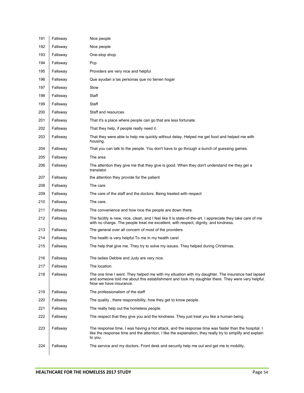| 191 | Fallsway | Nice people                                                                                                                                                                                                                    |
|-----|----------|--------------------------------------------------------------------------------------------------------------------------------------------------------------------------------------------------------------------------------|
| 192 | Fallsway | Nice people                                                                                                                                                                                                                    |
| 193 | Fallsway | One-stop shop.                                                                                                                                                                                                                 |
| 194 | Fallsway | Pcp                                                                                                                                                                                                                            |
| 195 | Fallsway | Providers are very nice and helpful                                                                                                                                                                                            |
| 196 | Fallsway | Que ayudan a las personas que no tienen hogar                                                                                                                                                                                  |
| 197 | Fallsway | Slow                                                                                                                                                                                                                           |
| 198 | Fallsway | Staff                                                                                                                                                                                                                          |
| 199 | Fallsway | Staff                                                                                                                                                                                                                          |
| 200 | Fallsway | Staff and resources                                                                                                                                                                                                            |
| 201 | Fallsway | That it's a place where people can go that are less fortunate.                                                                                                                                                                 |
| 202 | Fallsway | That they help, if people really need it.                                                                                                                                                                                      |
| 203 | Fallsway | That they were able to help me quickly without delay. Helped me get food and helped me with<br>housing.                                                                                                                        |
| 204 | Fallsway | That you can talk to the people. You don't have to go through a bunch of guessing games.                                                                                                                                       |
| 205 | Fallsway | The area                                                                                                                                                                                                                       |
| 206 | Fallsway | The attention they give me that they give is good. When they don't understand me they get a<br>translator.                                                                                                                     |
| 207 | Fallsway | the attention they provide for the patient                                                                                                                                                                                     |
| 208 | Fallsway | The care                                                                                                                                                                                                                       |
| 209 | Fallsway | The care of the staff and the doctors. Being treated with respect                                                                                                                                                              |
| 210 | Fallsway | The care.                                                                                                                                                                                                                      |
| 211 | Fallsway | The convenience and how nice the people are down there.                                                                                                                                                                        |
| 212 | Fallsway | The facility is new, nice, clean, and I feel like it is state-of-the-art. I appreciate they take care of me<br>with no charge. The people treat me excellent, with respect, dignity, and kindness.                             |
| 213 | Fallsway | The general over all concern of most of the providers                                                                                                                                                                          |
| 214 | Fallsway | The health is very helpful To me in my health carel                                                                                                                                                                            |
| 215 | Fallsway | The help that give me. They try to solve my issues. They helped during Christmas.                                                                                                                                              |
| 216 | Fallsway | The ladies Debbie and Judy are very nice.                                                                                                                                                                                      |
| 217 | Fallsway | The location.                                                                                                                                                                                                                  |
| 218 | Fallsway | The one time I went. They helped me with my situation with my daughter. The insurance had lapsed<br>and someone told me about this establishment and took my daughter there. They were very helpful.<br>Now we have insurance. |
| 219 | Fallsway | The professionalism of the staff                                                                                                                                                                                               |
| 220 | Fallsway | The quality, there responsibility, how they get to know people.                                                                                                                                                                |
| 221 | Fallsway | The really help out the homeless people.                                                                                                                                                                                       |
| 222 | Fallsway | The respect that they give you and the kindness. They just treat you like a human being.                                                                                                                                       |
| 223 | Fallsway | The response time. I was having a hot attack, and the response time was faster than the hospital. I<br>like the response time and the attention, I like the explanation, they really try to simplify and explain<br>to you.    |
| 224 | Fallsway | The service and my doctors. Front desk and security help me out and get me to mobility.                                                                                                                                        |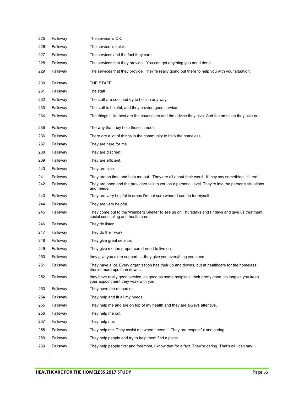| 225 | Fallsway | The service is OK.                                                                                                                      |
|-----|----------|-----------------------------------------------------------------------------------------------------------------------------------------|
| 226 | Fallsway | The service is quick.                                                                                                                   |
| 227 | Fallsway | The services and the fact they care                                                                                                     |
| 228 | Fallsway | The services that they provide. You can get anything you need done.                                                                     |
| 229 | Fallsway | The services that they provide. They're really going out there to help you with your situation.                                         |
| 230 | Fallsway | THE STAFF                                                                                                                               |
| 231 | Fallsway | The staff                                                                                                                               |
| 232 | Fallsway | The staff are cool and try to help in any way,                                                                                          |
| 233 | Fallsway | The staff is helpful, and they provide good service.                                                                                    |
| 234 | Fallsway | The things I like best are the counselors and the advice they give. And the ambition they give out                                      |
| 235 | Fallsway | The way that they help those in need.                                                                                                   |
| 236 | Fallsway | There are a lot of things in the community to help the homeless.                                                                        |
| 237 | Fallsway | They are here for me                                                                                                                    |
| 238 | Fallsway | They are discreet.                                                                                                                      |
| 239 | Fallsway | They are efficient.                                                                                                                     |
| 240 | Fallsway | They are nice.                                                                                                                          |
| 241 | Fallsway | They are on time and help me out. They are all about their word. If they say something, it's real.                                      |
| 242 | Fallsway | They are open and the providers talk to you on a personal level. They're into the person's situations<br>and needs.                     |
| 243 | Fallsway | They are very helpful in areas I'm not sure where I can do for myself.                                                                  |
| 244 | Fallsway | They are very helpful.                                                                                                                  |
| 245 | Fallsway | They come out to the Weinberg Shelter to see us on Thursdays and Fridays and give us treatment,<br>social counseling and health care.   |
| 246 | Fallsway | They do listen.                                                                                                                         |
| 247 | Fallsway | They do their work                                                                                                                      |
| 248 | Fallsway | They give great service.                                                                                                                |
| 249 | Fallsway | They give me the proper care I need to live on.                                                                                         |
| 250 | Fallsway | they give you extra supportthey give you everything you need                                                                            |
| 251 | Fallsway | They have a lot. Every organization has their up and downs, but at healthcare for the homeless,<br>there's more ups than downs.         |
| 252 | Fallsway | they have really good service, as good as some hospitals, their pretty good, as long as you keep<br>your appointment they work with you |
| 253 | Fallsway | They have the resources                                                                                                                 |
| 254 | Fallsway | They help and fit all my needs.                                                                                                         |
| 255 | Fallsway | They help me and are on top of my health and they are always attentive.                                                                 |
| 256 | Fallsway | They help me out.                                                                                                                       |
| 257 | Fallsway | They help me.                                                                                                                           |
| 258 | Fallsway | They help me. They assist me when I need it. They are respectful and caring.                                                            |
| 259 | Fallsway | They help people and try to help them find a place.                                                                                     |
| 260 | Fallsway | They help people first and foremost, I know that for a fact. They're caring. That's all I can say.                                      |
|     |          |                                                                                                                                         |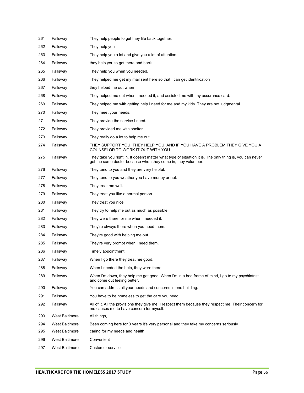| 261 | Fallsway              | They help people to get they life back together.                                                                                                                           |
|-----|-----------------------|----------------------------------------------------------------------------------------------------------------------------------------------------------------------------|
| 262 | Fallsway              | They help you                                                                                                                                                              |
| 263 | Fallsway              | They help you a lot and give you a lot of attention.                                                                                                                       |
| 264 | Fallsway              | they help you to get there and back                                                                                                                                        |
| 265 | Fallsway              | They help you when you needed.                                                                                                                                             |
| 266 | Fallsway              | They helped me get my mail sent here so that I can get identification                                                                                                      |
| 267 | Fallsway              | they helped me out when                                                                                                                                                    |
| 268 | Fallsway              | They helped me out when I needed it, and assisted me with my assurance card.                                                                                               |
| 269 | Fallsway              | They helped me with getting help I need for me and my kids. They are not judgmental.                                                                                       |
| 270 | Fallsway              | They meet your needs.                                                                                                                                                      |
| 271 | Fallsway              | They provide the service I need.                                                                                                                                           |
| 272 | Fallsway              | They provided me with shelter.                                                                                                                                             |
| 273 | Fallsway              | They really do a lot to help me out.                                                                                                                                       |
| 274 | Fallsway              | THEY SUPPORT YOU, THEY HELP YOU, AND IF YOU HAVE A PROBLEM THEY GIVE YOU A<br>COUNSELOR TO WORK IT OUT WITH YOU.                                                           |
| 275 | Fallsway              | They take you right in. It doesn't matter what type of situation it is. The only thing is, you can never<br>get the same doctor because when they come in, they volunteer. |
| 276 | Fallsway              | They tend to you and they are very helpful.                                                                                                                                |
| 277 | Fallsway              | They tend to you weather you have money or not.                                                                                                                            |
| 278 | Fallsway              | They treat me well.                                                                                                                                                        |
| 279 | Fallsway              | They treat you like a normal person.                                                                                                                                       |
| 280 | Fallsway              | They treat you nice.                                                                                                                                                       |
| 281 | Fallsway              | They try to help me out as much as possible.                                                                                                                               |
| 282 | Fallsway              | They were there for me when I needed it.                                                                                                                                   |
| 283 | Fallsway              | They're always there when you need them.                                                                                                                                   |
| 284 | Fallsway              | They're good with helping me out.                                                                                                                                          |
| 285 | Fallsway              | They're very prompt when I need them.                                                                                                                                      |
| 286 | Fallsway              | Timely appointment                                                                                                                                                         |
| 287 | Fallsway              | When I go there they treat me good.                                                                                                                                        |
| 288 | Fallsway              | When I needed the help, they were there.                                                                                                                                   |
| 289 | Fallsway              | When I'm down, they help me get good. When I'm in a bad frame of mind, I go to my psychiatrist<br>and come out feeling better.                                             |
| 290 | Fallsway              | You can address all your needs and concerns in one building.                                                                                                               |
| 291 | Fallsway              | You have to be homeless to get the care you need.                                                                                                                          |
| 292 | Fallsway              | All of it. All the provisions they give me. I respect them because they respect me. Their concern for<br>me causes me to have concern for myself.                          |
| 293 | <b>West Baltimore</b> | All things,                                                                                                                                                                |
| 294 | <b>West Baltimore</b> | Been coming here for 3 years it's very personal and they take my concerns seriously                                                                                        |
| 295 | <b>West Baltimore</b> | caring for my needs and health                                                                                                                                             |
| 296 | <b>West Baltimore</b> | Convenient                                                                                                                                                                 |
| 297 | <b>West Baltimore</b> | Customer service                                                                                                                                                           |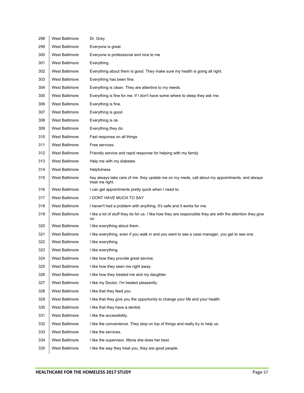| 298 | West Baltimore        | Dr. Grey                                                                                                           |
|-----|-----------------------|--------------------------------------------------------------------------------------------------------------------|
| 299 | West Baltimore        | Everyone is great                                                                                                  |
| 300 | West Baltimore        | Everyone is professional and nice to me                                                                            |
| 301 | <b>West Baltimore</b> | Everything                                                                                                         |
| 302 | West Baltimore        | Everything about them is good. They make sure my health is going all right.                                        |
| 303 | <b>West Baltimore</b> | Everything has been fine.                                                                                          |
| 304 | <b>West Baltimore</b> | Everything is clean. They are attentive to my needs.                                                               |
| 305 | West Baltimore        | Everything is fine for me. If I don't have some where to sleep they ask me.                                        |
| 306 | <b>West Baltimore</b> | Everything is fine.                                                                                                |
| 307 | West Baltimore        | Everything is good                                                                                                 |
| 308 | <b>West Baltimore</b> | Everything is ok.                                                                                                  |
| 309 | <b>West Baltimore</b> | Everything they do.                                                                                                |
| 310 | <b>West Baltimore</b> | Fast response on all things                                                                                        |
| 311 | <b>West Baltimore</b> | Free services.                                                                                                     |
| 312 | West Baltimore        | Friendly service and rapid response for helping with my family                                                     |
| 313 | <b>West Baltimore</b> | Help me with my diabetes                                                                                           |
| 314 | <b>West Baltimore</b> | <b>Helpfulness</b>                                                                                                 |
| 315 | West Baltimore        | hey always take care of me. they update me on my meds, call about my appointments, and always<br>treat me right.   |
| 316 | <b>West Baltimore</b> | I can get appointments pretty quick when I need to.                                                                |
| 317 | <b>West Baltimore</b> | I DONT HAVE MUCH TO SAY                                                                                            |
| 318 | <b>West Baltimore</b> | I haven't had a problem with anything, It's safe and it works for me.                                              |
| 319 | West Baltimore        | I like a lot of stuff they do for us. I like how they are responsible they are with the attention they give<br>us. |
| 320 | <b>West Baltimore</b> | I like everything about them.                                                                                      |
| 321 | <b>West Baltimore</b> | I like everything, even if you walk in and you want to see a case manager, you get to see one.                     |
| 322 | West Baltimore        | I like everything.                                                                                                 |
| 323 | <b>West Baltimore</b> | I like everything.                                                                                                 |
| 324 | West Baltimore        | I like how they provide great service                                                                              |
| 325 | West Baltimore        | I like how they seen me right away.                                                                                |
| 326 | <b>West Baltimore</b> | I like how they treated me and my daughter.                                                                        |
| 327 | West Baltimore        | I like my Doctor, I'm treated pleasantly.                                                                          |
| 328 | West Baltimore        | I like that they feed you.                                                                                         |
| 329 | <b>West Baltimore</b> | I like that they give you the opportunity to change your life and your health.                                     |
| 330 | West Baltimore        | I like that they have a dentist.                                                                                   |
| 331 | <b>West Baltimore</b> | I like the accessibility.                                                                                          |
| 332 | West Baltimore        | I like the convenience. They stop on top of things and really try to help us.                                      |
| 333 | <b>West Baltimore</b> | I like the services.                                                                                               |
| 334 | <b>West Baltimore</b> | I like the supervisor, Mona she does her best.                                                                     |
| 335 | West Baltimore        | I like the way they treat you, they are good people.                                                               |
|     |                       |                                                                                                                    |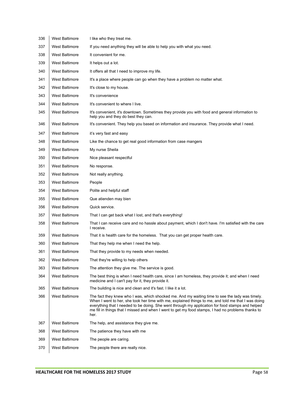| 336 | <b>West Baltimore</b> | I like who they treat me.                                                                                                                                                                                                                                                                                                                                                                                                |
|-----|-----------------------|--------------------------------------------------------------------------------------------------------------------------------------------------------------------------------------------------------------------------------------------------------------------------------------------------------------------------------------------------------------------------------------------------------------------------|
| 337 | <b>West Baltimore</b> | If you need anything they will be able to help you with what you need.                                                                                                                                                                                                                                                                                                                                                   |
| 338 | <b>West Baltimore</b> | It convenient for me.                                                                                                                                                                                                                                                                                                                                                                                                    |
| 339 | <b>West Baltimore</b> | It helps out a lot.                                                                                                                                                                                                                                                                                                                                                                                                      |
| 340 | <b>West Baltimore</b> | It offers all that I need to improve my life.                                                                                                                                                                                                                                                                                                                                                                            |
| 341 | <b>West Baltimore</b> | It's a place where people can go when they have a problem no matter what.                                                                                                                                                                                                                                                                                                                                                |
| 342 | <b>West Baltimore</b> | It's close to my house.                                                                                                                                                                                                                                                                                                                                                                                                  |
| 343 | <b>West Baltimore</b> | It's convenience                                                                                                                                                                                                                                                                                                                                                                                                         |
| 344 | <b>West Baltimore</b> | It's convenient to where I live.                                                                                                                                                                                                                                                                                                                                                                                         |
| 345 | <b>West Baltimore</b> | It's convenient, it's downtown. Sometimes they provide you with food and general information to<br>help you and they do best they can.                                                                                                                                                                                                                                                                                   |
| 346 | <b>West Baltimore</b> | It's convenient. They help you based on information and insurance. They provide what I need.                                                                                                                                                                                                                                                                                                                             |
| 347 | <b>West Baltimore</b> | it's very fast and easy                                                                                                                                                                                                                                                                                                                                                                                                  |
| 348 | <b>West Baltimore</b> | Like the chance to get real good information from case mangers                                                                                                                                                                                                                                                                                                                                                           |
| 349 | <b>West Baltimore</b> | My nurse Sheila                                                                                                                                                                                                                                                                                                                                                                                                          |
| 350 | <b>West Baltimore</b> | Nice pleasant respectful                                                                                                                                                                                                                                                                                                                                                                                                 |
| 351 | <b>West Baltimore</b> | No response.                                                                                                                                                                                                                                                                                                                                                                                                             |
| 352 | <b>West Baltimore</b> | Not really anything.                                                                                                                                                                                                                                                                                                                                                                                                     |
| 353 | <b>West Baltimore</b> | People                                                                                                                                                                                                                                                                                                                                                                                                                   |
| 354 | <b>West Baltimore</b> | Polite and helpful staff                                                                                                                                                                                                                                                                                                                                                                                                 |
| 355 | <b>West Baltimore</b> | Que atienden may bien                                                                                                                                                                                                                                                                                                                                                                                                    |
| 356 | <b>West Baltimore</b> | Quick service.                                                                                                                                                                                                                                                                                                                                                                                                           |
| 357 | <b>West Baltimore</b> | That I can get back what I lost, and that's everything!                                                                                                                                                                                                                                                                                                                                                                  |
| 358 | <b>West Baltimore</b> | That I can receive care and no hassle about payment, which I don't have. I'm satisfied with the care<br>I receive.                                                                                                                                                                                                                                                                                                       |
| 359 | <b>West Baltimore</b> | That it is health care for the homeless. That you can get proper health care.                                                                                                                                                                                                                                                                                                                                            |
| 360 | <b>West Baltimore</b> | That they help me when I need the help.                                                                                                                                                                                                                                                                                                                                                                                  |
| 361 | West Baltimore        | That they provide to my needs when needed.                                                                                                                                                                                                                                                                                                                                                                               |
| 362 | West Baltimore        | That they're willing to help others                                                                                                                                                                                                                                                                                                                                                                                      |
| 363 | West Baltimore        | The attention they give me. The service is good.                                                                                                                                                                                                                                                                                                                                                                         |
| 364 | West Baltimore        | The best thing is when I need health care, since I am homeless, they provide it; and when I need<br>medicine and I can't pay for it, they provide it.                                                                                                                                                                                                                                                                    |
| 365 | <b>West Baltimore</b> | The building is nice and clean and it's fast. I like it a lot.                                                                                                                                                                                                                                                                                                                                                           |
| 366 | West Baltimore        | The fact they knew who I was, which shocked me. And my waiting time to see the lady was timely.<br>When I went to her, she took her time with me, explained things to me, and told me that I was doing<br>everything that I needed to be doing. She went through my application for food stamps and helped<br>me fill in things that I missed and when I went to get my food stamps, I had no problems thanks to<br>her. |
| 367 | <b>West Baltimore</b> | The help, and assistance they give me.                                                                                                                                                                                                                                                                                                                                                                                   |
| 368 | West Baltimore        | The patience they have with me                                                                                                                                                                                                                                                                                                                                                                                           |
| 369 | <b>West Baltimore</b> | The people are caring.                                                                                                                                                                                                                                                                                                                                                                                                   |
| 370 | West Baltimore        | The people there are really nice.                                                                                                                                                                                                                                                                                                                                                                                        |
|     |                       |                                                                                                                                                                                                                                                                                                                                                                                                                          |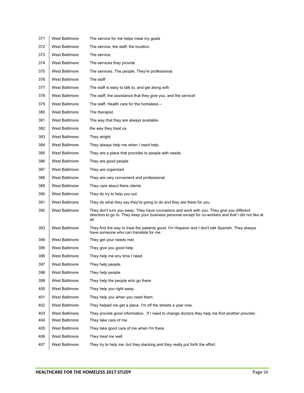| 371 | West Baltimore        | The service for me helps meat my goals                                                                                                                                                                     |
|-----|-----------------------|------------------------------------------------------------------------------------------------------------------------------------------------------------------------------------------------------------|
| 372 | <b>West Baltimore</b> | The service, the staff, the location.                                                                                                                                                                      |
| 373 | <b>West Baltimore</b> | The service.                                                                                                                                                                                               |
| 374 | <b>West Baltimore</b> | The services they provide                                                                                                                                                                                  |
| 375 | West Baltimore        | The services. The people. They're professional.                                                                                                                                                            |
| 376 | West Baltimore        | The staff                                                                                                                                                                                                  |
| 377 | <b>West Baltimore</b> | The staff is easy to talk to, and get along with                                                                                                                                                           |
| 378 | <b>West Baltimore</b> | The staff, the assistance that they give you, and the service!                                                                                                                                             |
| 379 | <b>West Baltimore</b> | The staff. Health care for the homeless.--                                                                                                                                                                 |
| 380 | <b>West Baltimore</b> | The therapist.                                                                                                                                                                                             |
| 381 | <b>West Baltimore</b> | The way that they are always available.                                                                                                                                                                    |
| 382 | <b>West Baltimore</b> | the way they treat us.                                                                                                                                                                                     |
| 383 | <b>West Baltimore</b> | They alright.                                                                                                                                                                                              |
| 384 | <b>West Baltimore</b> | They always help me when I need help.                                                                                                                                                                      |
| 385 | <b>West Baltimore</b> | They are a place that provides to people with needs.                                                                                                                                                       |
| 386 | <b>West Baltimore</b> | They are good people                                                                                                                                                                                       |
| 387 | <b>West Baltimore</b> | They are organized                                                                                                                                                                                         |
| 388 | <b>West Baltimore</b> | They are very convenient and professional.                                                                                                                                                                 |
| 389 | <b>West Baltimore</b> | They care about there clients                                                                                                                                                                              |
| 390 | <b>West Baltimore</b> | They do try to help you out.                                                                                                                                                                               |
| 391 | <b>West Baltimore</b> | They do what they say they're going to do and they are there for you.                                                                                                                                      |
| 392 | <b>West Baltimore</b> | They don't turn you away. They have counselors and work with you. They give you different<br>directors to go to. They keep your business personal except for co-workers and that I did not like at<br>all. |
| 393 | <b>West Baltimore</b> | They find the way to treat the patients good. I'm Hispanic and I don't talk Spanish. They always<br>have someone who can translate for me.                                                                 |
| 394 | <b>West Baltimore</b> | They get your needs met.                                                                                                                                                                                   |
| 395 | <b>West Baltimore</b> | They give you good help.                                                                                                                                                                                   |
| 396 | <b>West Baltimore</b> | They help me any time I need.                                                                                                                                                                              |
| 397 | <b>West Baltimore</b> | They help people.                                                                                                                                                                                          |
| 398 | <b>West Baltimore</b> | They help people.                                                                                                                                                                                          |
| 399 | <b>West Baltimore</b> | They help the people who go there.                                                                                                                                                                         |
| 400 | <b>West Baltimore</b> | They help you right away.                                                                                                                                                                                  |
| 401 | <b>West Baltimore</b> | They help you when you need them.                                                                                                                                                                          |
| 402 | <b>West Baltimore</b> | They helped me get a place. I'm off the streets a year now.                                                                                                                                                |
| 403 | <b>West Baltimore</b> | They provide good information. If I need to change doctors they help me find another provider.                                                                                                             |
| 404 | <b>West Baltimore</b> | They take care of me.                                                                                                                                                                                      |
| 405 | <b>West Baltimore</b> | They take good care of me when I'm there.                                                                                                                                                                  |
| 406 | <b>West Baltimore</b> | They treat me well.                                                                                                                                                                                        |
| 407 | <b>West Baltimore</b> | They try to help me, but they slacking and they really put forth the effort.                                                                                                                               |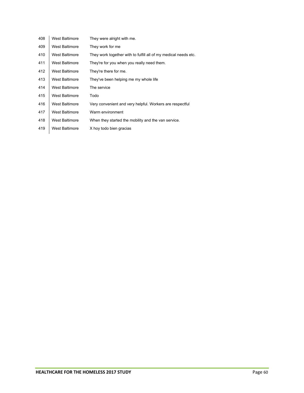| 408 | <b>West Baltimore</b> | They were alright with me.                                      |
|-----|-----------------------|-----------------------------------------------------------------|
| 409 | <b>West Baltimore</b> | They work for me                                                |
| 410 | <b>West Baltimore</b> | They work together with to fulfill all of my medical needs etc. |
| 411 | <b>West Baltimore</b> | They're for you when you really need them.                      |
| 412 | <b>West Baltimore</b> | They're there for me.                                           |
| 413 | <b>West Baltimore</b> | They've been helping me my whole life                           |
| 414 | <b>West Baltimore</b> | The service                                                     |
| 415 | <b>West Baltimore</b> | Todo                                                            |
| 416 | <b>West Baltimore</b> | Very convenient and very helpful. Workers are respectful        |
| 417 | <b>West Baltimore</b> | Warm environment                                                |
| 418 | <b>West Baltimore</b> | When they started the mobility and the van service.             |
| 419 | <b>West Baltimore</b> | X hoy todo bien gracias                                         |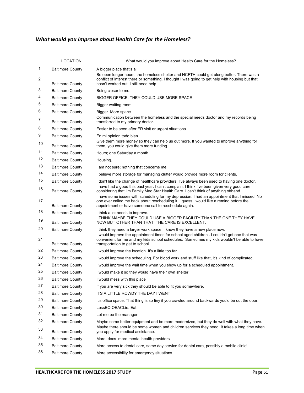# *What would you improve about Health Care for the Homeless?*

|              | <b>LOCATION</b>         | What would you improve about Health Care for the Homeless?                                                                                                                                                                                                                          |
|--------------|-------------------------|-------------------------------------------------------------------------------------------------------------------------------------------------------------------------------------------------------------------------------------------------------------------------------------|
| $\mathbf{1}$ | <b>Baltimore County</b> | A bigger place that's all                                                                                                                                                                                                                                                           |
| 2            | <b>Baltimore County</b> | Be open longer hours, the homeless shelter and HCFTH could get along better. There was a<br>conflict of interest there or something. I thought I was going to get help with housing but that<br>hasn't worked out. I still need help.                                               |
| 3            | <b>Baltimore County</b> | Being closer to me.                                                                                                                                                                                                                                                                 |
| 4            | <b>Baltimore County</b> | BIGGER OFFICE. THEY COULD USE MORE SPACE                                                                                                                                                                                                                                            |
| 5            | <b>Baltimore County</b> | Bigger waiting room                                                                                                                                                                                                                                                                 |
| 6            | <b>Baltimore County</b> | Bigger. More space                                                                                                                                                                                                                                                                  |
| 7            | <b>Baltimore County</b> | Communication between the homeless and the special needs doctor and my records being<br>transferred to my primary doctor.                                                                                                                                                           |
| 8            | <b>Baltimore County</b> | Easier to be seen after ER visit or urgent situations.                                                                                                                                                                                                                              |
| 9            | <b>Baltimore County</b> | En mi opinion todo bien                                                                                                                                                                                                                                                             |
| 10           | <b>Baltimore County</b> | Give them more money so they can help us out more. If you wanted to improve anything for<br>them, you could give them more funding.                                                                                                                                                 |
| 11           | <b>Baltimore County</b> | Hours; one Saturday a month                                                                                                                                                                                                                                                         |
| 12           | <b>Baltimore County</b> | Housing.                                                                                                                                                                                                                                                                            |
| 13           | <b>Baltimore County</b> | I am not sure; nothing that concerns me.                                                                                                                                                                                                                                            |
| 14           | <b>Baltimore County</b> | I believe more storage for managing clutter would provide more room for clients.                                                                                                                                                                                                    |
| 15           | <b>Baltimore County</b> | I don't like the change of healthcare providers. I've always been used to having one doctor.                                                                                                                                                                                        |
| 16           | <b>Baltimore County</b> | I have had a good this past year. I can't complain. I think I've been given very good care,<br>considering that I'm Family Med Star Health Care. I can't think of anything offhand.<br>I have some issues with scheduling for my depression. I had an appointment that I missed. No |
| 17           | <b>Baltimore County</b> | one ever called me back about rescheduling it. I guess I would like a remind before the<br>appointment or have someone call to reschedule again.                                                                                                                                    |
| 18           | <b>Baltimore County</b> | I think a lot needs to improve.                                                                                                                                                                                                                                                     |
| 19           | <b>Baltimore County</b> | I THINK MAYBE THEY COULD USE A BIGGER FACILITY THAN THE ONE THEY HAVE<br>NOW BUT OTHER THAN THAT, THE CARE IS EXCELLENT.                                                                                                                                                            |
| 20           | <b>Baltimore County</b> | I think they need a larger work space. I know they have a new place now.                                                                                                                                                                                                            |
| 21           | <b>Baltimore County</b> | I would improve the appointment times for school aged children . I couldn't get one that was<br>convenient for me and my kids school schedules. Sometimes my kids wouldn't be able to have<br>transportation to get to school.                                                      |
| 22           | <b>Baltimore County</b> | I would improve the location. It's a little too far.                                                                                                                                                                                                                                |
| 23           | <b>Baltimore County</b> | I would improve the scheduling. For blood work and stuff like that, it's kind of complicated.                                                                                                                                                                                       |
| 24           | <b>Baltimore County</b> | I would improve the wait time when you show up for a scheduled appointment.                                                                                                                                                                                                         |
| 25           | <b>Baltimore County</b> | I would make it so they would have their own shelter                                                                                                                                                                                                                                |
| 26           | <b>Baltimore County</b> | I would mess with this place                                                                                                                                                                                                                                                        |
| 27           | <b>Baltimore County</b> | If you are very sick they should be able to fit you somewhere.                                                                                                                                                                                                                      |
| 28           | <b>Baltimore County</b> | ITS A LITTLE ROWDY THE DAY I WENT                                                                                                                                                                                                                                                   |
| 29           | <b>Baltimore County</b> | It's office space. That thing is so tiny if you crawled around backwards you'd be out the door.                                                                                                                                                                                     |
| 30           | <b>Baltimore County</b> | LessEO OEACLie. Eat                                                                                                                                                                                                                                                                 |
| 31           | <b>Baltimore County</b> | Let me be the manager.                                                                                                                                                                                                                                                              |
| 32           | <b>Baltimore County</b> | Maybe some better equipment and be more modernized, but they do well with what they have.                                                                                                                                                                                           |
| 33           | <b>Baltimore County</b> | Maybe there should be some women and children services they need. It takes a long time when<br>you apply for medical assistance.                                                                                                                                                    |
| 34           | <b>Baltimore County</b> | More docs more mental health providers                                                                                                                                                                                                                                              |
| 35           | <b>Baltimore County</b> | More access to dental care, same day service for dental care, possibly a mobile clinic!                                                                                                                                                                                             |
| 36           | <b>Baltimore County</b> | More accessibility for emergency situations.                                                                                                                                                                                                                                        |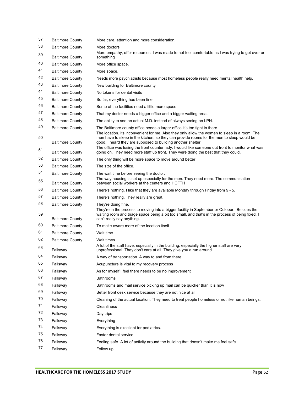| 37       | <b>Baltimore County</b>                            | More care, attention and more consideration.                                                                                                                                                                                                                                                                                                                   |
|----------|----------------------------------------------------|----------------------------------------------------------------------------------------------------------------------------------------------------------------------------------------------------------------------------------------------------------------------------------------------------------------------------------------------------------------|
| 38       | <b>Baltimore County</b>                            | More doctors                                                                                                                                                                                                                                                                                                                                                   |
| 39       | <b>Baltimore County</b>                            | More empathy, offer resources, I was made to not feel comfortable as I was trying to get over or<br>something                                                                                                                                                                                                                                                  |
| 40       | <b>Baltimore County</b>                            | More office space.                                                                                                                                                                                                                                                                                                                                             |
| 41       | <b>Baltimore County</b>                            | More space.                                                                                                                                                                                                                                                                                                                                                    |
| 42       | <b>Baltimore County</b>                            | Needs more psychiatrists because most homeless people really need mental health help.                                                                                                                                                                                                                                                                          |
| 43       | <b>Baltimore County</b>                            | New building for Baltimore county                                                                                                                                                                                                                                                                                                                              |
| 44       | <b>Baltimore County</b>                            | No tokens for dental visits                                                                                                                                                                                                                                                                                                                                    |
| 45       | <b>Baltimore County</b>                            | So far, everything has been fine.                                                                                                                                                                                                                                                                                                                              |
| 46       | <b>Baltimore County</b>                            | Some of the facilities need a little more space.                                                                                                                                                                                                                                                                                                               |
| 47       | <b>Baltimore County</b>                            | That my doctor needs a bigger office and a bigger waiting area.                                                                                                                                                                                                                                                                                                |
| 48       | <b>Baltimore County</b>                            | The ability to see an actual M.D. instead of always seeing an LPN.                                                                                                                                                                                                                                                                                             |
| 49       | <b>Baltimore County</b>                            | The Baltimore county office needs a larger office it's too tight in there                                                                                                                                                                                                                                                                                      |
| 50<br>51 | <b>Baltimore County</b>                            | The location. Its inconvenient for me. Also they only allow the women to sleep in a room. The<br>men have to sleep in the kitchen, so they can provide rooms for the men to sleep would be<br>good. I heard they are supposed to building another shelter.<br>The office was losing the front counter lady. I would like someone out front to monitor what was |
|          | <b>Baltimore County</b>                            | going on. They need more staff up front. They were doing the best that they could.                                                                                                                                                                                                                                                                             |
| 52       | <b>Baltimore County</b>                            | The only thing will be more space to move around better                                                                                                                                                                                                                                                                                                        |
| 53       | <b>Baltimore County</b>                            | The size of the office.                                                                                                                                                                                                                                                                                                                                        |
| 54<br>55 | <b>Baltimore County</b><br><b>Baltimore County</b> | The wait time before seeing the doctor.<br>The way housing is set up especially for the men. They need more. The communication<br>between social workers at the centers and HCFTH                                                                                                                                                                              |
| 56       | <b>Baltimore County</b>                            | There's nothing. I like that they are available Monday through Friday from 9 - 5.                                                                                                                                                                                                                                                                              |
| 57       | <b>Baltimore County</b>                            | There's nothing. They really are great.                                                                                                                                                                                                                                                                                                                        |
| 58       | <b>Baltimore County</b>                            | They're doing fine.                                                                                                                                                                                                                                                                                                                                            |
| 59       | <b>Baltimore County</b>                            | They're in the process to moving into a bigger facility in September or October. Besides the<br>waiting room and triage space being a bit too small, and that's in the process of being fixed, I<br>can't really say anything.                                                                                                                                 |
| 60       | <b>Baltimore County</b>                            | To make aware more of the location itself.                                                                                                                                                                                                                                                                                                                     |
| 61       | <b>Baltimore County</b>                            | Wait time                                                                                                                                                                                                                                                                                                                                                      |
| 62       | <b>Baltimore County</b>                            | Wait times                                                                                                                                                                                                                                                                                                                                                     |
| 63       | Fallsway                                           | A lot of the staff have, especially in the building, especially the higher staff are very<br>unprofessional. They don't care at all. They give you a run around.                                                                                                                                                                                               |
| 64       | Fallsway                                           | A way of transportation. A way to and from there.                                                                                                                                                                                                                                                                                                              |
| 65       | Fallsway                                           | Acupuncture is vital to my recovery process                                                                                                                                                                                                                                                                                                                    |
| 66       | Fallsway                                           | As for myself I feel there needs to be no improvement                                                                                                                                                                                                                                                                                                          |
| 67       | Fallsway                                           | <b>Bathrooms</b>                                                                                                                                                                                                                                                                                                                                               |
| 68       | Fallsway                                           | Bathrooms and mail service picking up mail can be quicker than it is now                                                                                                                                                                                                                                                                                       |
| 69       | Fallsway                                           | Better front desk service because they are not nice at all                                                                                                                                                                                                                                                                                                     |
| 70       | Fallsway                                           | Cleaning of the actual location. They need to treat people homeless or not like human beings.                                                                                                                                                                                                                                                                  |
| 71       | Fallsway                                           | Cleanliness                                                                                                                                                                                                                                                                                                                                                    |
| 72       | Fallsway                                           | Day trips                                                                                                                                                                                                                                                                                                                                                      |
| 73       | Fallsway                                           | Everything                                                                                                                                                                                                                                                                                                                                                     |
| 74       | Fallsway                                           | Everything is excellent for pediatrics.                                                                                                                                                                                                                                                                                                                        |
| 75       | Fallsway                                           | Faster dental service                                                                                                                                                                                                                                                                                                                                          |
| 76       | Fallsway                                           | Feeling safe. A lot of activity around the building that doesn't make me feel safe.                                                                                                                                                                                                                                                                            |
| 77       | Fallsway                                           | Follow up                                                                                                                                                                                                                                                                                                                                                      |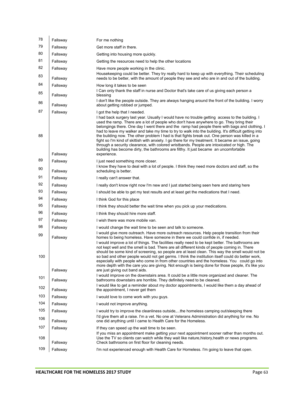| 78        | Fallsway             | For me nothing                                                                                                                                                                                                                                                                                                                                                                                                                                                                                                                                                                                                                                                                                                                                                                                                                                       |
|-----------|----------------------|------------------------------------------------------------------------------------------------------------------------------------------------------------------------------------------------------------------------------------------------------------------------------------------------------------------------------------------------------------------------------------------------------------------------------------------------------------------------------------------------------------------------------------------------------------------------------------------------------------------------------------------------------------------------------------------------------------------------------------------------------------------------------------------------------------------------------------------------------|
| 79        | Fallsway             | Get more staff in there.                                                                                                                                                                                                                                                                                                                                                                                                                                                                                                                                                                                                                                                                                                                                                                                                                             |
| 80        | Fallsway             | Getting into housing more quickly.                                                                                                                                                                                                                                                                                                                                                                                                                                                                                                                                                                                                                                                                                                                                                                                                                   |
| 81        | Fallsway             | Getting the resources need to help the other locations                                                                                                                                                                                                                                                                                                                                                                                                                                                                                                                                                                                                                                                                                                                                                                                               |
| 82<br>83  | Fallsway<br>Fallsway | Have more people working in the clinic.<br>Housekeeping could be better. They try really hard to keep up with everything. Their scheduling<br>needs to be better, with the amount of people they see and who are in and out of the building.                                                                                                                                                                                                                                                                                                                                                                                                                                                                                                                                                                                                         |
| 84        | Fallsway             | How long it takes to be seen                                                                                                                                                                                                                                                                                                                                                                                                                                                                                                                                                                                                                                                                                                                                                                                                                         |
| 85        | Fallsway             | I Can only thank the staff in nurse and Doctor that's take care of us giving each person a<br>blessing                                                                                                                                                                                                                                                                                                                                                                                                                                                                                                                                                                                                                                                                                                                                               |
| 86        | Fallsway             | I don't like the people outside. They are always hanging around the front of the building. I worry<br>about getting robbed or jumped.                                                                                                                                                                                                                                                                                                                                                                                                                                                                                                                                                                                                                                                                                                                |
| 87<br>88  | Fallsway<br>Fallsway | I got the help that I needed.<br>I had back surgery last year. Usually I would have no trouble getting access to the building. I<br>used the ramp. There are a lot of people who don't have anywhere to go. They bring their<br>belongings there. One day I went there and the ramp had people there with bags and clothing. I<br>had to leave my walker and take my time to try to walk into the building. It's difficult getting into<br>the building now. The other problem I had is that fights break out. One person was killed in a<br>fight so I'm kind of skittish with anxiety. I go there for my treatment. It became an issue, going<br>through a security clearance, with colored wristbands. People are intoxicated or high. The<br>building has become dirty, the bathrooms are filthy. It just became an uncomfortable<br>experience. |
| 89        | Fallsway             | I just need something more closer.                                                                                                                                                                                                                                                                                                                                                                                                                                                                                                                                                                                                                                                                                                                                                                                                                   |
| 90        | Fallsway             | I know they have to deal with a lot of people. I think they need more doctors and staff, so the<br>scheduling is better.                                                                                                                                                                                                                                                                                                                                                                                                                                                                                                                                                                                                                                                                                                                             |
| 91        | Fallsway             | I really can't answer that.                                                                                                                                                                                                                                                                                                                                                                                                                                                                                                                                                                                                                                                                                                                                                                                                                          |
| 92        | Fallsway             | I really don't know right now I'm new and I just started being seen here and staring here                                                                                                                                                                                                                                                                                                                                                                                                                                                                                                                                                                                                                                                                                                                                                            |
| 93        | Fallsway             | I should be able to get my test results and at least get the medications that I need.                                                                                                                                                                                                                                                                                                                                                                                                                                                                                                                                                                                                                                                                                                                                                                |
| 94        | Fallsway             | I think God for this place                                                                                                                                                                                                                                                                                                                                                                                                                                                                                                                                                                                                                                                                                                                                                                                                                           |
| 95        | Fallsway             | I think they should better the wait time when you pick up your medications.                                                                                                                                                                                                                                                                                                                                                                                                                                                                                                                                                                                                                                                                                                                                                                          |
| 96        | Fallsway             | I think they should hire more staff.                                                                                                                                                                                                                                                                                                                                                                                                                                                                                                                                                                                                                                                                                                                                                                                                                 |
| 97        | Fallsway             | I wish there was more mobile van.                                                                                                                                                                                                                                                                                                                                                                                                                                                                                                                                                                                                                                                                                                                                                                                                                    |
| 98        | Fallsway             | I would change the wait time to be seen and talk to someone.                                                                                                                                                                                                                                                                                                                                                                                                                                                                                                                                                                                                                                                                                                                                                                                         |
| 99<br>100 | Fallsway             | I would give more outreach. Have more outreach resources. Help people transition from their<br>homes to being homeless. Have someone in there we could confide in, if needed.<br>I would improve a lot of things. The facilities really need to be kept better. The bathrooms are<br>not kept well and the smell is bad. There are all different kinds of people coming in. There<br>should be some kind of screening, so people are at least clean. This way the smell would not be<br>so bad and other people would not get germs. I think the institution itself could do better work,<br>especially with people who come in from other countries and the homeless. You could go into<br>more depth with the care you are giving. Not enough is being done for those people, it's like you                                                        |
|           | Fallsway             | are just giving out band aids.                                                                                                                                                                                                                                                                                                                                                                                                                                                                                                                                                                                                                                                                                                                                                                                                                       |
| 101       | Fallsway             | I would improve on the downstairs area. It could be a little more organized and cleaner. The<br>bathrooms downstairs are horrible. They definitely need to be cleaned.<br>I would like to get a reminder about my doctor appointments, I would like them a day ahead of                                                                                                                                                                                                                                                                                                                                                                                                                                                                                                                                                                              |
| 102       | Fallsway             | the appointment, I never get them                                                                                                                                                                                                                                                                                                                                                                                                                                                                                                                                                                                                                                                                                                                                                                                                                    |
| 103       | Fallsway             | I would love to come work with you guys.                                                                                                                                                                                                                                                                                                                                                                                                                                                                                                                                                                                                                                                                                                                                                                                                             |
| 104       | Fallsway             | I would not improve anything.                                                                                                                                                                                                                                                                                                                                                                                                                                                                                                                                                                                                                                                                                                                                                                                                                        |
| 105       | Fallsway             | I would try to improve the cleanliness outside,the homeless camping out/sleeping there<br>I'd give them all a raise. I'm a vet. No one at Veterans Administration did anything for me. No                                                                                                                                                                                                                                                                                                                                                                                                                                                                                                                                                                                                                                                            |
| 106       | Fallsway             | one did anything until I came to Health Care for the Homeless.                                                                                                                                                                                                                                                                                                                                                                                                                                                                                                                                                                                                                                                                                                                                                                                       |
| 107       | Fallsway             | If they can speed up the wait time to be seen.                                                                                                                                                                                                                                                                                                                                                                                                                                                                                                                                                                                                                                                                                                                                                                                                       |
| 108       | Fallsway             | If you miss an appointment make getting your next appointment sooner rather than months out.<br>Use the TV so clients can watch while they wait like nature, history, health or news programs.<br>Check bathrooms on first floor for cleaning needs.                                                                                                                                                                                                                                                                                                                                                                                                                                                                                                                                                                                                 |
| 109       | Fallsway             | I'm not experienced enough with Health Care for Homeless. I'm going to leave that open.                                                                                                                                                                                                                                                                                                                                                                                                                                                                                                                                                                                                                                                                                                                                                              |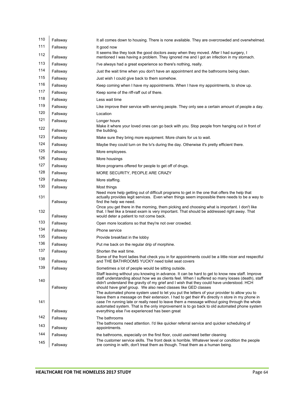| 110 | Fallsway | It all comes down to housing. There is none available. They are overcrowded and overwhelmed.                                                                                                                                                                     |
|-----|----------|------------------------------------------------------------------------------------------------------------------------------------------------------------------------------------------------------------------------------------------------------------------|
| 111 | Fallsway | It good now                                                                                                                                                                                                                                                      |
| 112 | Fallsway | It seems like they took the good doctors away when they moved. After I had surgery, I<br>mentioned I was having a problem. They ignored me and I got an infection in my stomach.                                                                                 |
| 113 | Fallsway | I've always had a great experience so there's nothing, really.                                                                                                                                                                                                   |
| 114 | Fallsway | Just the wait time when you don't have an appointment and the bathrooms being clean.                                                                                                                                                                             |
| 115 | Fallsway | Just wish I could give back to them somehow.                                                                                                                                                                                                                     |
| 116 | Fallsway | Keep coming when I have my appointments. When I have my appointments, to show up.                                                                                                                                                                                |
| 117 | Fallsway | Keep some of the riff-raff out of there.                                                                                                                                                                                                                         |
| 118 | Fallsway | Less wait time                                                                                                                                                                                                                                                   |
| 119 | Fallsway | Like improve their service with serving people. They only see a certain amount of people a day.                                                                                                                                                                  |
| 120 | Fallsway | Location                                                                                                                                                                                                                                                         |
| 121 | Fallsway | Longer hours                                                                                                                                                                                                                                                     |
| 122 | Fallsway | Make it where your loved ones can go back with you. Stop people from hanging out in front of<br>the building.                                                                                                                                                    |
| 123 | Fallsway | Make sure they bring more equipment. More chairs for us to wait.                                                                                                                                                                                                 |
| 124 | Fallsway | Maybe they could turn on the ty's during the day. Otherwise it's pretty efficient there.                                                                                                                                                                         |
| 125 | Fallsway | More employees.                                                                                                                                                                                                                                                  |
| 126 | Fallsway | More housings                                                                                                                                                                                                                                                    |
| 127 | Fallsway | More programs offered for people to get off of drugs.                                                                                                                                                                                                            |
| 128 | Fallsway | MORE SECURITY, PEOPLE ARE CRAZY                                                                                                                                                                                                                                  |
| 129 | Fallsway | More staffing.                                                                                                                                                                                                                                                   |
| 130 | Fallsway | Most things<br>Need more help getting out of difficult programs to get in the one that offers the help that                                                                                                                                                      |
| 131 | Fallsway | actually provides legit services. Even when things seem impossible there needs to be a way to<br>find the help we need.                                                                                                                                          |
| 132 | Fallsway | Once you get there in the morning, them picking and choosing what is important. I don't like<br>that. I feel like a breast exam is very important. That should be addressed right away. That<br>would deter a patient to not come back.                          |
| 133 | Fallsway | Open more locations so that they're not over crowded.                                                                                                                                                                                                            |
| 134 | Fallsway | Phone service                                                                                                                                                                                                                                                    |
| 135 | Fallsway | Provide breakfast in the lobby                                                                                                                                                                                                                                   |
| 136 | Fallsway | Put me back on the regular drip of morphine.                                                                                                                                                                                                                     |
| 137 | Fallsway | Shorten the wait time.                                                                                                                                                                                                                                           |
| 138 | Fallsway | Some of the front ladies that check you in for appointments could be a little nicer and respectful<br>and THE BATHROOMS YUCKY need toilet seat covers                                                                                                            |
| 139 | Fallsway | Sometimes a lot of people would be sitting outside.<br>Staff leaving without you knowing in advance. It can be hard to get to know new staff. Improve                                                                                                            |
| 140 |          | staff understanding about how we as clients feel. When I suffered so many losses (death), staff<br>didn't understand the gravity of my grief and I wish that they could have understood. HCH                                                                     |
|     | Fallsway | should have grief group. We also need classes like GED classes<br>The automated phone system used to let you put the letters of your provider to allow you to<br>leave them a message on their extension. I had to get their #'s directly n store in my phone in |
| 141 | Fallsway | case I'm running late or really need to leave them a message without going through the whole<br>automated system. That is the only improvement is to go back to old automated phone system<br>everything else l've experienced has been great                    |
| 142 | Fallsway | The bathrooms                                                                                                                                                                                                                                                    |
| 143 | Fallsway | The bathrooms need attention. I'd like quicker referral service and quicker scheduling of<br>appointments.                                                                                                                                                       |
| 144 | Fallsway | the bathrooms, especially on the first floor, could use/need better cleaning                                                                                                                                                                                     |
| 145 | Fallsway | The customer service skills. The front desk is horrible. Whatever level or condition the people<br>are coming in with, don't treat them as though. Treat them as a human being.                                                                                  |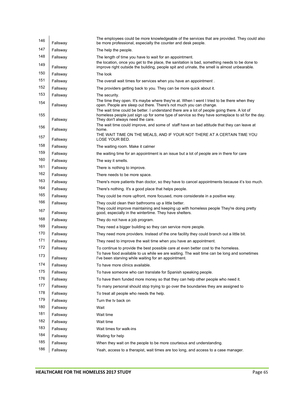| 146        | Fallsway | The employees could be more knowledgeable of the services that are provided. They could also<br>be more professional, especially the counter and desk people.                                                                                                   |
|------------|----------|-----------------------------------------------------------------------------------------------------------------------------------------------------------------------------------------------------------------------------------------------------------------|
| 147        | Fallsway | The help the people.                                                                                                                                                                                                                                            |
| 148        | Fallsway | The length of time you have to wait for an appointment.                                                                                                                                                                                                         |
| 149        | Fallsway | the location, once you get to the place, the sanitation is bad, something needs to be done to<br>improve right outside the building, people spit and urinate, the smell is almost unbearable.                                                                   |
| 150        | Fallsway | The look                                                                                                                                                                                                                                                        |
| 151        | Fallsway | The overall wait times for services when you have an appointment.                                                                                                                                                                                               |
| 152        | Fallsway | The providers getting back to you. They can be more quick about it.                                                                                                                                                                                             |
| 153        | Fallsway | The security.                                                                                                                                                                                                                                                   |
| 154        | Fallsway | The time they open. It's maybe where they're at. When I went I tried to be there when they<br>open. People are sleep out there. There's not much you can change.<br>The wait time could be better. I understand there are a lot of people going there. A lot of |
| 155        | Fallsway | homeless people just sign up for some type of service so they have someplace to sit for the day.<br>They don't always need the care.                                                                                                                            |
| 156        | Fallsway | The wait time could improve, and some of staff have an bad attitude that they can leave at<br>home.                                                                                                                                                             |
| 157        | Fallsway | THE WAIT TIME ON THE MEALS, AND IF YOUR NOT THERE AT A CERTAIN TIME YOU<br>LOSE YOUR BED.                                                                                                                                                                       |
| 158        | Fallsway | The waiting room. Make it calmer                                                                                                                                                                                                                                |
| 159        | Fallsway | the waiting time for an appointment is an issue but a lot of people are in there for care                                                                                                                                                                       |
| 160        | Fallsway | The way it smells.                                                                                                                                                                                                                                              |
| 161        | Fallsway | There is nothing to improve.                                                                                                                                                                                                                                    |
| 162        | Fallsway | There needs to be more space.                                                                                                                                                                                                                                   |
| 163        | Fallsway | There's more patients than doctor, so they have to cancel appointments because it's too much.                                                                                                                                                                   |
| 164        | Fallsway | There's nothing. It's a good place that helps people.                                                                                                                                                                                                           |
| 165        | Fallsway | They could be more upfront, more focused, more considerate in a positive way.                                                                                                                                                                                   |
| 166        | Fallsway | They could clean their bathrooms up a little better.                                                                                                                                                                                                            |
| 167        | Fallsway | They could improve maintaining and keeping up with homeless people They're doing pretty<br>good, especially in the wintertime. They have shelters.                                                                                                              |
| 168        | Fallsway | They do not have a job program.                                                                                                                                                                                                                                 |
| 169        | Fallsway | They need a bigger building so they can service more people.                                                                                                                                                                                                    |
| 170        | Fallsway | They need more providers. Instead of the one facility they could branch out a little bit.                                                                                                                                                                       |
| 171        | Fallsway | They need to improve the wait time when you have an appointment.                                                                                                                                                                                                |
| 172<br>173 | Fallsway | To continue to provide the best possible care at even better cost to the homeless.<br>To have food available to us while we are waiting. The wait time can be long and sometimes                                                                                |
|            | Fallsway | I've been starving while waiting for an appointment.                                                                                                                                                                                                            |
| 174        | Fallsway | To have more clinics available.                                                                                                                                                                                                                                 |
| 175        | Fallsway | To have someone who can translate for Spanish speaking people.                                                                                                                                                                                                  |
| 176        | Fallsway | To have them funded more money so that they can help other people who need it.                                                                                                                                                                                  |
| 177        | Fallsway | To many personal should stop trying to go over the boundaries they are assigned to                                                                                                                                                                              |
| 178        | Fallsway | To treat all people who needs the help.                                                                                                                                                                                                                         |
| 179        | Fallsway | Turn the ty back on                                                                                                                                                                                                                                             |
| 180        | Fallsway | Wait                                                                                                                                                                                                                                                            |
| 181        | Fallsway | Wait time                                                                                                                                                                                                                                                       |
| 182        | Fallsway | Wait time                                                                                                                                                                                                                                                       |
| 183        | Fallsway | Wait times for walk-ins                                                                                                                                                                                                                                         |
| 184        | Fallsway | Waiting for help                                                                                                                                                                                                                                                |
| 185        | Fallsway | When they wait on the people to be more courteous and understanding.                                                                                                                                                                                            |
| 186        | Fallsway | Yeah, access to a therapist, wait times are too long, and access to a case manager.                                                                                                                                                                             |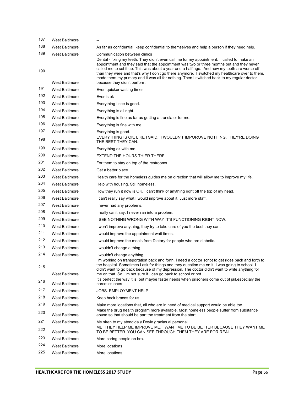| 187        | <b>West Baltimore</b>                          |                                                                                                                                                                                                                                                                                                                                                                                                                                                                                                                                                          |
|------------|------------------------------------------------|----------------------------------------------------------------------------------------------------------------------------------------------------------------------------------------------------------------------------------------------------------------------------------------------------------------------------------------------------------------------------------------------------------------------------------------------------------------------------------------------------------------------------------------------------------|
| 188        | <b>West Baltimore</b>                          | As far as confidential, keep confidential to themselves and help a person if they need help.                                                                                                                                                                                                                                                                                                                                                                                                                                                             |
| 189<br>190 | <b>West Baltimore</b><br><b>West Baltimore</b> | Communication between clinics<br>Dental - fixing my teeth. They didn't even call me for my appointment. I called to make an<br>appointment and they said that the appointment was two or three months out and they never<br>called me to set it up. This was about a year and a half ago. And now my teeth are worse off<br>than they were and that's why I don't go there anymore. I switched my healthcare over to them,<br>made them my primary and it was all for nothing. Then I switched back to my regular doctor<br>because they didn't perform. |
| 191        | <b>West Baltimore</b>                          | Even quicker waiting times                                                                                                                                                                                                                                                                                                                                                                                                                                                                                                                               |
| 192        | <b>West Baltimore</b>                          | Ever is ok                                                                                                                                                                                                                                                                                                                                                                                                                                                                                                                                               |
| 193        | West Baltimore                                 | Everything I see is good.                                                                                                                                                                                                                                                                                                                                                                                                                                                                                                                                |
| 194        | <b>West Baltimore</b>                          | Everything is all right.                                                                                                                                                                                                                                                                                                                                                                                                                                                                                                                                 |
| 195        | <b>West Baltimore</b>                          | Everything is fine as far as getting a translator for me.                                                                                                                                                                                                                                                                                                                                                                                                                                                                                                |
| 196        | <b>West Baltimore</b>                          | Everything is fine with me.                                                                                                                                                                                                                                                                                                                                                                                                                                                                                                                              |
| 197        | <b>West Baltimore</b>                          | Everything is good.<br>EVERYTHING IS OK, LIKE I SAID. I WOULDN'T IMPOROVE NOTHING, THEY'RE DOING                                                                                                                                                                                                                                                                                                                                                                                                                                                         |
| 198        | <b>West Baltimore</b>                          | THE BEST THEY CAN.                                                                                                                                                                                                                                                                                                                                                                                                                                                                                                                                       |
| 199        | <b>West Baltimore</b>                          | Everything ok with me.                                                                                                                                                                                                                                                                                                                                                                                                                                                                                                                                   |
| 200        | <b>West Baltimore</b>                          | EXTEND THE HOURS THIER THERE                                                                                                                                                                                                                                                                                                                                                                                                                                                                                                                             |
| 201        | <b>West Baltimore</b>                          | For them to stay on top of the restrooms.                                                                                                                                                                                                                                                                                                                                                                                                                                                                                                                |
| 202        | <b>West Baltimore</b>                          | Get a better place.                                                                                                                                                                                                                                                                                                                                                                                                                                                                                                                                      |
| 203        | <b>West Baltimore</b>                          | Health care for the homeless guides me on direction that will allow me to improve my life.                                                                                                                                                                                                                                                                                                                                                                                                                                                               |
| 204        | <b>West Baltimore</b>                          | Help with housing. Still homeless.                                                                                                                                                                                                                                                                                                                                                                                                                                                                                                                       |
| 205        | <b>West Baltimore</b>                          | How they run it now is OK. I can't think of anything right off the top of my head.                                                                                                                                                                                                                                                                                                                                                                                                                                                                       |
| 206        | West Baltimore                                 | I can't really say what I would improve about it. Just more staff.                                                                                                                                                                                                                                                                                                                                                                                                                                                                                       |
| 207        | <b>West Baltimore</b>                          | I never had any problems.                                                                                                                                                                                                                                                                                                                                                                                                                                                                                                                                |
| 208        | <b>West Baltimore</b>                          | I really can't say. I never ran into a problem.                                                                                                                                                                                                                                                                                                                                                                                                                                                                                                          |
| 209        | <b>West Baltimore</b>                          | I SEE NOTHING WRONG WITH WAY IT'S FUNCTIONING RIGHT NOW.                                                                                                                                                                                                                                                                                                                                                                                                                                                                                                 |
| 210        | <b>West Baltimore</b>                          | I won't improve anything, they try to take care of you the best they can.                                                                                                                                                                                                                                                                                                                                                                                                                                                                                |
| 211        | <b>West Baltimore</b>                          | I would improve the appointment wait times.                                                                                                                                                                                                                                                                                                                                                                                                                                                                                                              |
| 212        | <b>West Baltimore</b>                          | I would improve the meals from Dietary for people who are diabetic.                                                                                                                                                                                                                                                                                                                                                                                                                                                                                      |
| 213        | <b>West Baltimore</b>                          | I wouldn't change a thing                                                                                                                                                                                                                                                                                                                                                                                                                                                                                                                                |
| 214<br>215 | <b>West Baltimore</b><br><b>West Baltimore</b> | I wouldn't change anything.<br>I'm working on transportation back and forth. I need a doctor script to get rides back and forth to<br>the hospital Sometimes I ask for things and they question me on it. I was going to school. I<br>didn't want to go back because of my depression. The doctor didn't want to write anything for<br>me on that. So, I'm not sure if I can go back to school or not.                                                                                                                                                   |
| 216        | <b>West Baltimore</b>                          | It's perfect the way it is, but maybe faster needs when prisoners come out of jail especialy the<br>narcotics ones                                                                                                                                                                                                                                                                                                                                                                                                                                       |
| 217        | <b>West Baltimore</b>                          | <b>JOBS. EMPLOYMENT HELP</b>                                                                                                                                                                                                                                                                                                                                                                                                                                                                                                                             |
| 218        | <b>West Baltimore</b>                          | Keep back braces for us                                                                                                                                                                                                                                                                                                                                                                                                                                                                                                                                  |
| 219<br>220 | <b>West Baltimore</b>                          | Make more locations that, all who are in need of medical support would be able too.<br>Make the drug health program more available. Most homeless people suffer from substance                                                                                                                                                                                                                                                                                                                                                                           |
|            | <b>West Baltimore</b>                          | abuse so that should be part the treatment from the start.                                                                                                                                                                                                                                                                                                                                                                                                                                                                                               |
| 221<br>222 | <b>West Baltimore</b><br><b>West Baltimore</b> | Me siren to my atendida y Doyle gracias al personal<br>ME. THEY HELP ME IMPROVE ME. I WANT ME TO BE BETTER BECAUSE THEY WANT ME<br>TO BE BETTER. YOU CAN SEE THROUGH THEM THEY ARE FOR REAL                                                                                                                                                                                                                                                                                                                                                              |
| 223        | <b>West Baltimore</b>                          | More caring people on bro.                                                                                                                                                                                                                                                                                                                                                                                                                                                                                                                               |
| 224        | <b>West Baltimore</b>                          | More locations                                                                                                                                                                                                                                                                                                                                                                                                                                                                                                                                           |
| 225        | <b>West Baltimore</b>                          | More locations.                                                                                                                                                                                                                                                                                                                                                                                                                                                                                                                                          |
|            |                                                |                                                                                                                                                                                                                                                                                                                                                                                                                                                                                                                                                          |